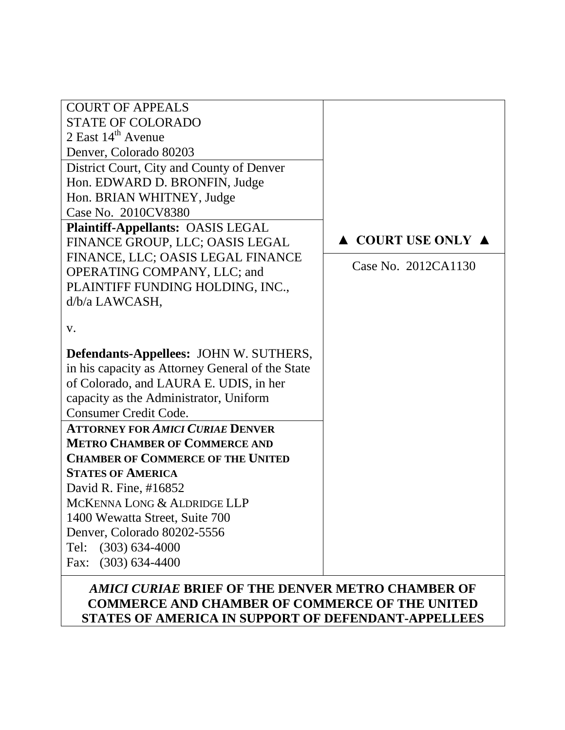| <b>COURT OF APPEALS</b>                          |                                        |
|--------------------------------------------------|----------------------------------------|
| <b>STATE OF COLORADO</b>                         |                                        |
| $2$ East $14th$ Avenue                           |                                        |
| Denver, Colorado 80203                           |                                        |
| District Court, City and County of Denver        |                                        |
| Hon. EDWARD D. BRONFIN, Judge                    |                                        |
| Hon. BRIAN WHITNEY, Judge                        |                                        |
| Case No. 2010CV8380                              |                                        |
| <b>Plaintiff-Appellants: OASIS LEGAL</b>         |                                        |
| FINANCE GROUP, LLC; OASIS LEGAL                  | $\triangle$ COURT USE ONLY $\triangle$ |
| FINANCE, LLC; OASIS LEGAL FINANCE                |                                        |
| OPERATING COMPANY, LLC; and                      | Case No. 2012CA1130                    |
| PLAINTIFF FUNDING HOLDING, INC.,                 |                                        |
| d/b/a LAWCASH,                                   |                                        |
|                                                  |                                        |
| V.                                               |                                        |
| <b>Defendants-Appellees: JOHN W. SUTHERS,</b>    |                                        |
| in his capacity as Attorney General of the State |                                        |
| of Colorado, and LAURA E. UDIS, in her           |                                        |
| capacity as the Administrator, Uniform           |                                        |
| Consumer Credit Code.                            |                                        |
| <b>ATTORNEY FOR AMICI CURIAE DENVER</b>          |                                        |
| <b>METRO CHAMBER OF COMMERCE AND</b>             |                                        |
| <b>CHAMBER OF COMMERCE OF THE UNITED</b>         |                                        |
| <b>STATES OF AMERICA</b>                         |                                        |
| David R. Fine, #16852                            |                                        |
| MCKENNA LONG & ALDRIDGE LLP                      |                                        |
| 1400 Wewatta Street, Suite 700                   |                                        |
| Denver, Colorado 80202-5556                      |                                        |
| $(303) 634 - 4000$<br>Tel:                       |                                        |
| $(303) 634 - 4400$<br>Fax:                       |                                        |
|                                                  |                                        |

## *AMICI CURIAE* **BRIEF OF THE DENVER METRO CHAMBER OF COMMERCE AND CHAMBER OF COMMERCE OF THE UNITED STATES OF AMERICA IN SUPPORT OF DEFENDANT-APPELLEES**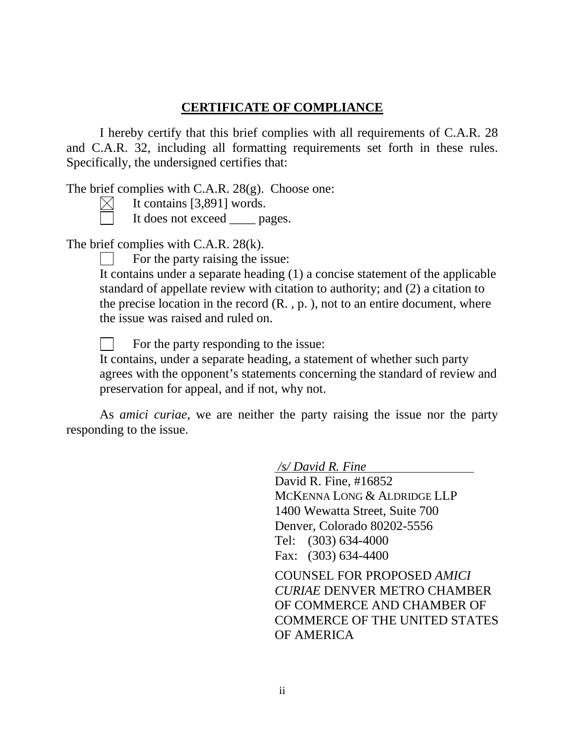## **CERTIFICATE OF COMPLIANCE**

I hereby certify that this brief complies with all requirements of C.A.R. 28 and C.A.R. 32, including all formatting requirements set forth in these rules. Specifically, the undersigned certifies that:

The brief complies with C.A.R. 28(g). Choose one:

It contains [3,891] words.  $\boxtimes$ 

It does not exceed \_\_\_\_ pages.

The brief complies with C.A.R. 28(k).

For the party raising the issue:

It contains under a separate heading (1) a concise statement of the applicable standard of appellate review with citation to authority; and (2) a citation to the precise location in the record  $(R, p, p)$ , not to an entire document, where the issue was raised and ruled on.

For the party responding to the issue:

It contains, under a separate heading, a statement of whether such party agrees with the opponent's statements concerning the standard of review and preservation for appeal, and if not, why not.

As *amici curiae*, we are neither the party raising the issue nor the party responding to the issue.

*/s/ David R. Fine*

David R. Fine, #16852 MCKENNA LONG & ALDRIDGE LLP 1400 Wewatta Street, Suite 700 Denver, Colorado 80202-5556 Tel: (303) 634-4000 Fax: (303) 634-4400

COUNSEL FOR PROPOSED *AMICI CURIAE* DENVER METRO CHAMBER OF COMMERCE AND CHAMBER OF COMMERCE OF THE UNITED STATES OF AMERICA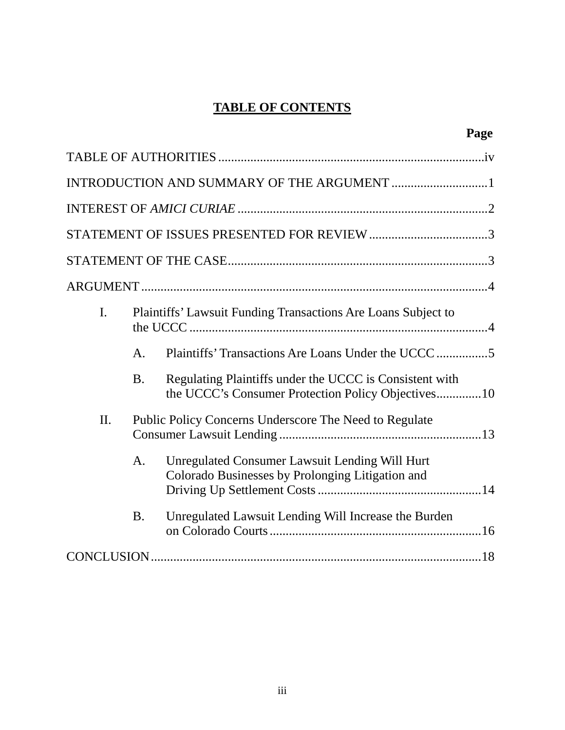# **TABLE OF CONTENTS**

|                |                |                                                                                                               | Page |
|----------------|----------------|---------------------------------------------------------------------------------------------------------------|------|
|                |                |                                                                                                               |      |
|                |                |                                                                                                               |      |
|                |                |                                                                                                               |      |
|                |                |                                                                                                               |      |
|                |                |                                                                                                               |      |
|                |                |                                                                                                               |      |
| $\mathbf{I}$ . |                | Plaintiffs' Lawsuit Funding Transactions Are Loans Subject to                                                 |      |
|                | $\mathsf{A}$ . |                                                                                                               |      |
|                | <b>B.</b>      | Regulating Plaintiffs under the UCCC is Consistent with<br>the UCCC's Consumer Protection Policy Objectives10 |      |
| II.            |                | Public Policy Concerns Underscore The Need to Regulate                                                        |      |
|                | A.             | Unregulated Consumer Lawsuit Lending Will Hurt<br>Colorado Businesses by Prolonging Litigation and            |      |
|                | <b>B.</b>      | Unregulated Lawsuit Lending Will Increase the Burden                                                          |      |
|                |                |                                                                                                               |      |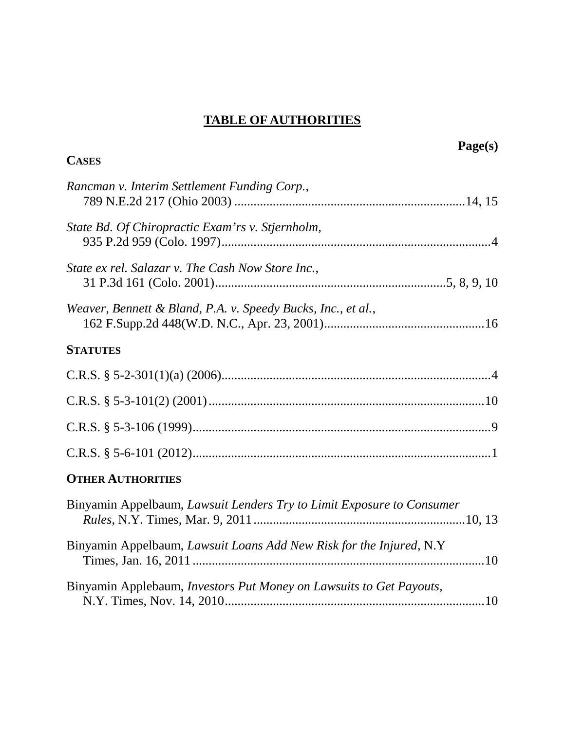# **TABLE OF AUTHORITIES**

|                                                                       | Page(s) |
|-----------------------------------------------------------------------|---------|
| <b>CASES</b>                                                          |         |
| Rancman v. Interim Settlement Funding Corp.,                          |         |
| State Bd. Of Chiropractic Exam'rs v. Stjernholm,                      |         |
| State ex rel. Salazar v. The Cash Now Store Inc.,                     |         |
| Weaver, Bennett & Bland, P.A. v. Speedy Bucks, Inc., et al.,          |         |
| <b>STATUTES</b>                                                       |         |
|                                                                       |         |
|                                                                       |         |
|                                                                       |         |
|                                                                       |         |
| <b>OTHER AUTHORITIES</b>                                              |         |
| Binyamin Appelbaum, Lawsuit Lenders Try to Limit Exposure to Consumer |         |
| Binyamin Appelbaum, Lawsuit Loans Add New Risk for the Injured, N.Y   |         |
| Binyamin Applebaum, Investors Put Money on Lawsuits to Get Payouts,   |         |
|                                                                       |         |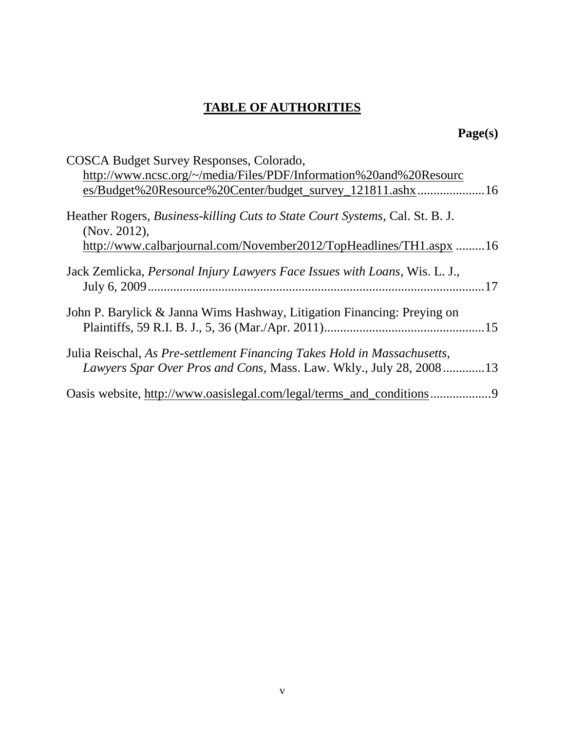# **TABLE OF AUTHORITIES**

# **Page(s)**

| COSCA Budget Survey Responses, Colorado,                                                                                                       |
|------------------------------------------------------------------------------------------------------------------------------------------------|
| http://www.ncsc.org/~/media/Files/PDF/Information%20and%20Resourc                                                                              |
| es/Budget%20Resource%20Center/budget_survey_121811.ashx16                                                                                      |
| Heather Rogers, <i>Business-killing Cuts to State Court Systems</i> , Cal. St. B. J.<br>(Nov. 2012),                                           |
| http://www.calbarjournal.com/November2012/TopHeadlines/TH1.aspx 16                                                                             |
| Jack Zemlicka, Personal Injury Lawyers Face Issues with Loans, Wis. L. J.,                                                                     |
| John P. Barylick & Janna Wims Hashway, Litigation Financing: Preying on                                                                        |
| Julia Reischal, As Pre-settlement Financing Takes Hold in Massachusetts,<br>Lawyers Spar Over Pros and Cons, Mass. Law. Wkly., July 28, 200813 |
| Oasis website, http://www.oasislegal.com/legal/terms_and_conditions                                                                            |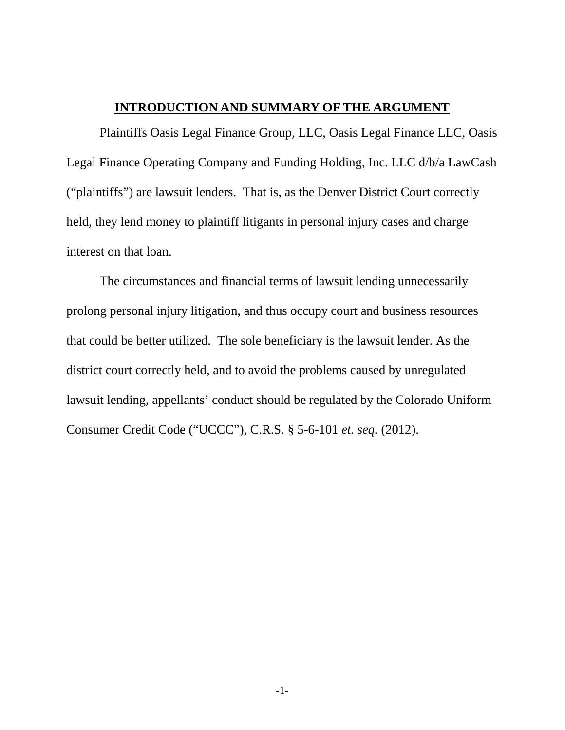### **INTRODUCTION AND SUMMARY OF THE ARGUMENT**

Plaintiffs Oasis Legal Finance Group, LLC, Oasis Legal Finance LLC, Oasis Legal Finance Operating Company and Funding Holding, Inc. LLC d/b/a LawCash ("plaintiffs") are lawsuit lenders. That is, as the Denver District Court correctly held, they lend money to plaintiff litigants in personal injury cases and charge interest on that loan.

The circumstances and financial terms of lawsuit lending unnecessarily prolong personal injury litigation, and thus occupy court and business resources that could be better utilized. The sole beneficiary is the lawsuit lender. As the district court correctly held, and to avoid the problems caused by unregulated lawsuit lending, appellants' conduct should be regulated by the Colorado Uniform Consumer Credit Code ("UCCC"), C.R.S. § 5-6-101 *et. seq.* (2012).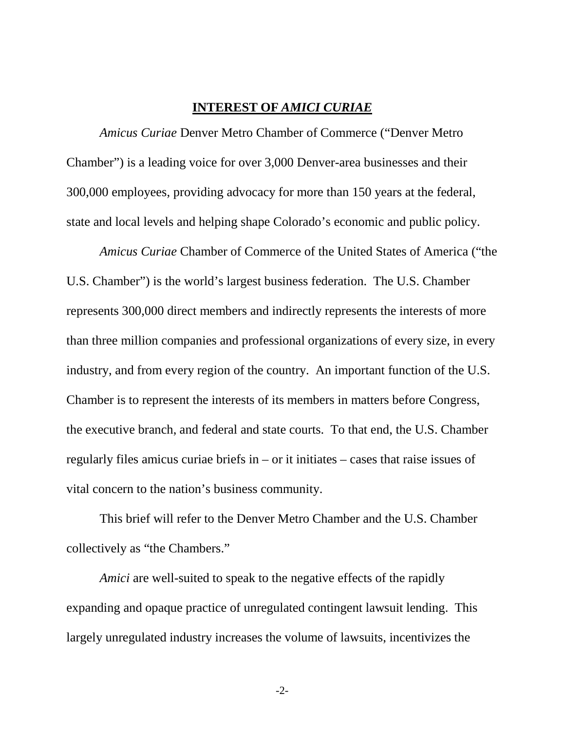### **INTEREST OF** *AMICI CURIAE*

*Amicus Curiae* Denver Metro Chamber of Commerce ("Denver Metro Chamber") is a leading voice for over 3,000 Denver-area businesses and their 300,000 employees, providing advocacy for more than 150 years at the federal, state and local levels and helping shape Colorado's economic and public policy.

*Amicus Curiae* Chamber of Commerce of the United States of America ("the U.S. Chamber") is the world's largest business federation. The U.S. Chamber represents 300,000 direct members and indirectly represents the interests of more than three million companies and professional organizations of every size, in every industry, and from every region of the country. An important function of the U.S. Chamber is to represent the interests of its members in matters before Congress, the executive branch, and federal and state courts. To that end, the U.S. Chamber regularly files amicus curiae briefs in – or it initiates – cases that raise issues of vital concern to the nation's business community.

This brief will refer to the Denver Metro Chamber and the U.S. Chamber collectively as "the Chambers."

*Amici* are well-suited to speak to the negative effects of the rapidly expanding and opaque practice of unregulated contingent lawsuit lending. This largely unregulated industry increases the volume of lawsuits, incentivizes the

-2-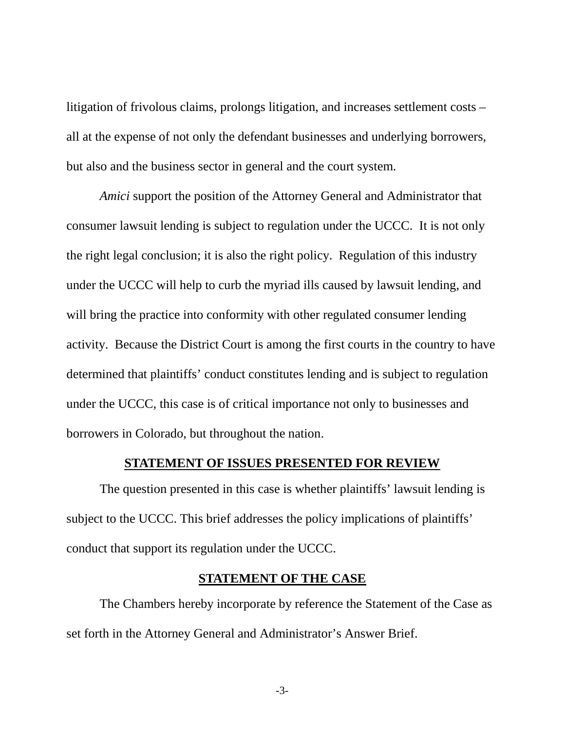litigation of frivolous claims, prolongs litigation, and increases settlement costs – all at the expense of not only the defendant businesses and underlying borrowers, but also and the business sector in general and the court system.

*Amici* support the position of the Attorney General and Administrator that consumer lawsuit lending is subject to regulation under the UCCC. It is not only the right legal conclusion; it is also the right policy. Regulation of this industry under the UCCC will help to curb the myriad ills caused by lawsuit lending, and will bring the practice into conformity with other regulated consumer lending activity. Because the District Court is among the first courts in the country to have determined that plaintiffs' conduct constitutes lending and is subject to regulation under the UCCC, this case is of critical importance not only to businesses and borrowers in Colorado, but throughout the nation.

### **STATEMENT OF ISSUES PRESENTED FOR REVIEW**

The question presented in this case is whether plaintiffs' lawsuit lending is subject to the UCCC. This brief addresses the policy implications of plaintiffs' conduct that support its regulation under the UCCC.

### **STATEMENT OF THE CASE**

The Chambers hereby incorporate by reference the Statement of the Case as set forth in the Attorney General and Administrator's Answer Brief.

-3-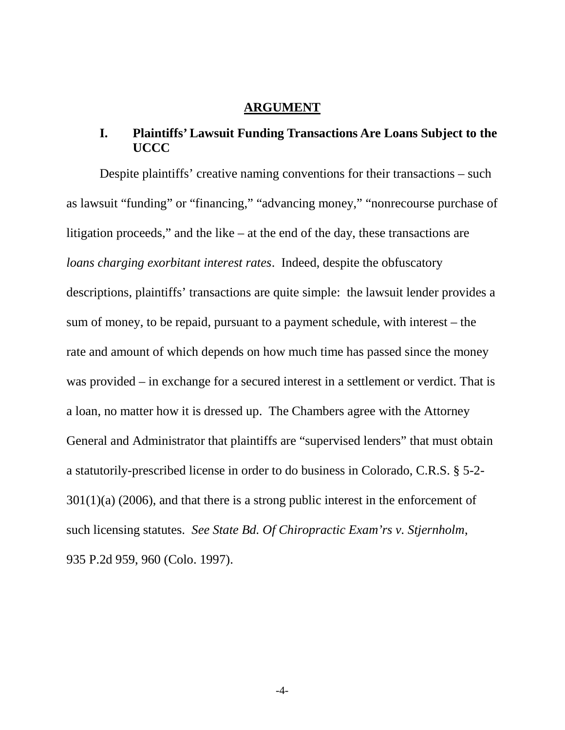#### **ARGUMENT**

## **I. Plaintiffs' Lawsuit Funding Transactions Are Loans Subject to the UCCC**

Despite plaintiffs' creative naming conventions for their transactions – such as lawsuit "funding" or "financing," "advancing money," "nonrecourse purchase of litigation proceeds," and the like – at the end of the day, these transactions are *loans charging exorbitant interest rates*. Indeed, despite the obfuscatory descriptions, plaintiffs' transactions are quite simple: the lawsuit lender provides a sum of money, to be repaid, pursuant to a payment schedule, with interest – the rate and amount of which depends on how much time has passed since the money was provided – in exchange for a secured interest in a settlement or verdict. That is a loan, no matter how it is dressed up. The Chambers agree with the Attorney General and Administrator that plaintiffs are "supervised lenders" that must obtain a statutorily-prescribed license in order to do business in Colorado, C.R.S. § 5-2-  $301(1)(a)$  (2006), and that there is a strong public interest in the enforcement of such licensing statutes. *See State Bd. Of Chiropractic Exam'rs v. Stjernholm*, 935 P.2d 959, 960 (Colo. 1997).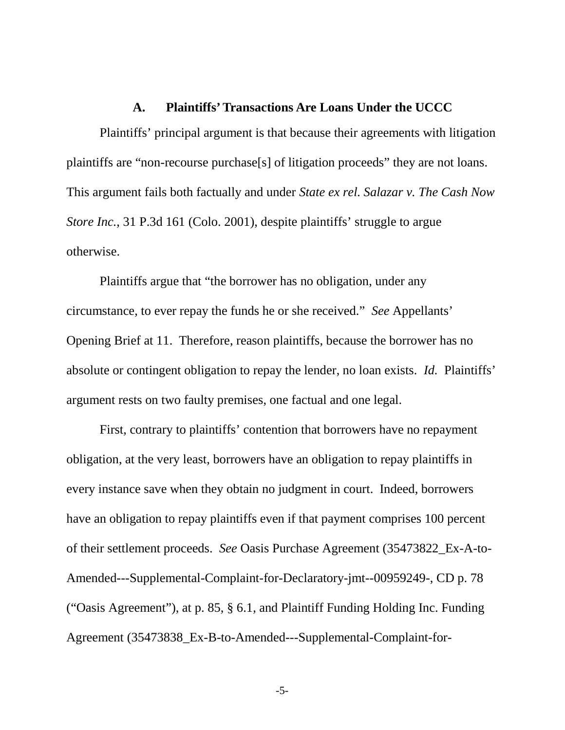#### **A. Plaintiffs' Transactions Are Loans Under the UCCC**

Plaintiffs' principal argument is that because their agreements with litigation plaintiffs are "non-recourse purchase[s] of litigation proceeds" they are not loans. This argument fails both factually and under *State ex rel. Salazar v. The Cash Now Store Inc.*, 31 P.3d 161 (Colo. 2001), despite plaintiffs' struggle to argue otherwise.

Plaintiffs argue that "the borrower has no obligation, under any circumstance, to ever repay the funds he or she received." *See* Appellants' Opening Brief at 11. Therefore, reason plaintiffs, because the borrower has no absolute or contingent obligation to repay the lender, no loan exists. *Id.* Plaintiffs' argument rests on two faulty premises, one factual and one legal.

First, contrary to plaintiffs' contention that borrowers have no repayment obligation, at the very least, borrowers have an obligation to repay plaintiffs in every instance save when they obtain no judgment in court. Indeed, borrowers have an obligation to repay plaintiffs even if that payment comprises 100 percent of their settlement proceeds. *See* Oasis Purchase Agreement (35473822\_Ex-A-to-Amended---Supplemental-Complaint-for-Declaratory-jmt--00959249-, CD p. 78 ("Oasis Agreement"), at p. 85, § 6.1, and Plaintiff Funding Holding Inc. Funding Agreement (35473838\_Ex-B-to-Amended---Supplemental-Complaint-for-

-5-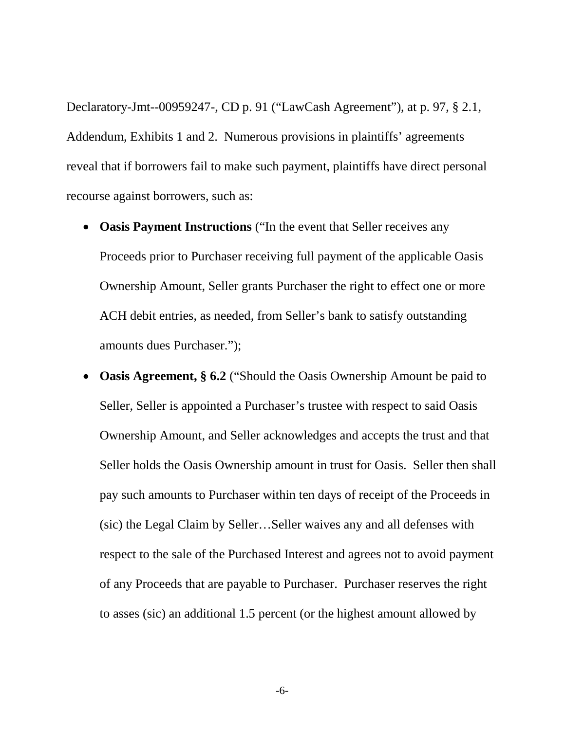Declaratory-Jmt--00959247-, CD p. 91 ("LawCash Agreement"), at p. 97, § 2.1, Addendum, Exhibits 1 and 2. Numerous provisions in plaintiffs' agreements reveal that if borrowers fail to make such payment, plaintiffs have direct personal recourse against borrowers, such as:

- **Oasis Payment Instructions** ("In the event that Seller receives any Proceeds prior to Purchaser receiving full payment of the applicable Oasis Ownership Amount, Seller grants Purchaser the right to effect one or more ACH debit entries, as needed, from Seller's bank to satisfy outstanding amounts dues Purchaser.");
- **Oasis Agreement, § 6.2** ("Should the Oasis Ownership Amount be paid to Seller, Seller is appointed a Purchaser's trustee with respect to said Oasis Ownership Amount, and Seller acknowledges and accepts the trust and that Seller holds the Oasis Ownership amount in trust for Oasis. Seller then shall pay such amounts to Purchaser within ten days of receipt of the Proceeds in (sic) the Legal Claim by Seller…Seller waives any and all defenses with respect to the sale of the Purchased Interest and agrees not to avoid payment of any Proceeds that are payable to Purchaser. Purchaser reserves the right to asses (sic) an additional 1.5 percent (or the highest amount allowed by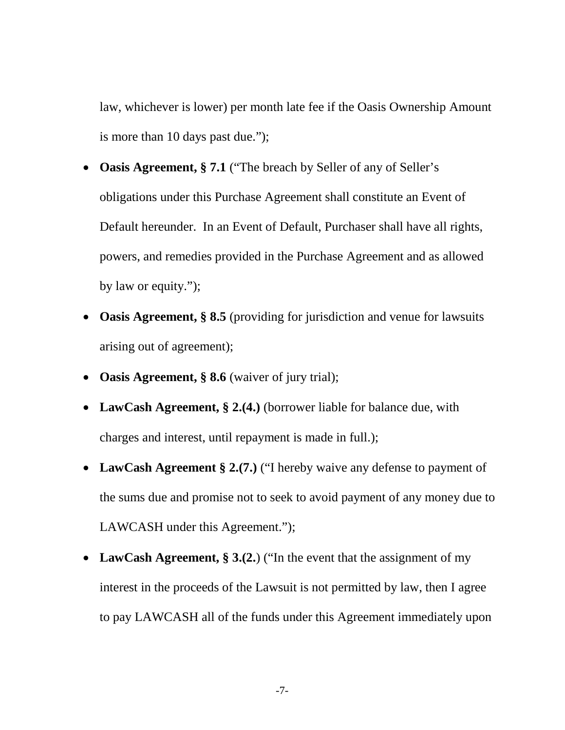law, whichever is lower) per month late fee if the Oasis Ownership Amount is more than 10 days past due.");

- **Oasis Agreement, § 7.1** ("The breach by Seller of any of Seller's obligations under this Purchase Agreement shall constitute an Event of Default hereunder. In an Event of Default, Purchaser shall have all rights, powers, and remedies provided in the Purchase Agreement and as allowed by law or equity.");
- **Oasis Agreement, § 8.5** (providing for jurisdiction and venue for lawsuits arising out of agreement);
- **Oasis Agreement, § 8.6** (waiver of jury trial);
- LawCash Agreement, § 2.(4.) (borrower liable for balance due, with charges and interest, until repayment is made in full.);
- LawCash Agreement § 2.(7.) ("I hereby waive any defense to payment of the sums due and promise not to seek to avoid payment of any money due to LAWCASH under this Agreement.");
- LawCash Agreement, § 3.(2.) ("In the event that the assignment of my interest in the proceeds of the Lawsuit is not permitted by law, then I agree to pay LAWCASH all of the funds under this Agreement immediately upon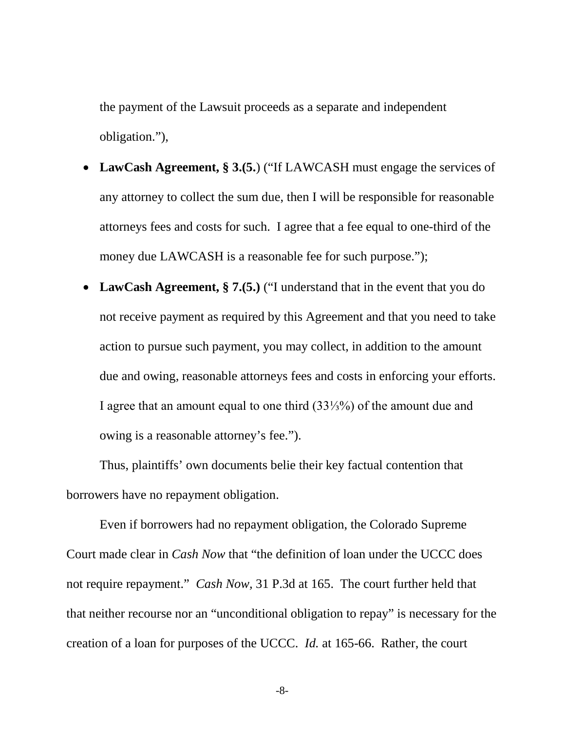the payment of the Lawsuit proceeds as a separate and independent obligation."),

- LawCash Agreement, § 3.(5.) ("If LAWCASH must engage the services of any attorney to collect the sum due, then I will be responsible for reasonable attorneys fees and costs for such. I agree that a fee equal to one-third of the money due LAWCASH is a reasonable fee for such purpose.");
- LawCash Agreement, § 7.(5.) ("I understand that in the event that you do not receive payment as required by this Agreement and that you need to take action to pursue such payment, you may collect, in addition to the amount due and owing, reasonable attorneys fees and costs in enforcing your efforts. I agree that an amount equal to one third (33⅓%) of the amount due and owing is a reasonable attorney's fee.").

Thus, plaintiffs' own documents belie their key factual contention that borrowers have no repayment obligation.

Even if borrowers had no repayment obligation, the Colorado Supreme Court made clear in *Cash Now* that "the definition of loan under the UCCC does not require repayment." *Cash Now,* 31 P.3d at 165. The court further held that that neither recourse nor an "unconditional obligation to repay" is necessary for the creation of a loan for purposes of the UCCC. *Id.* at 165-66. Rather, the court

-8-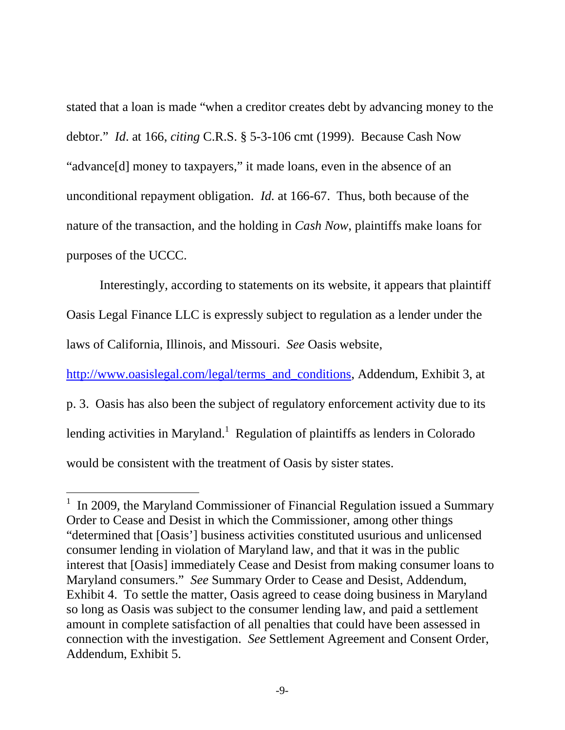stated that a loan is made "when a creditor creates debt by advancing money to the debtor." *Id*. at 166, *citing* C.R.S. § 5-3-106 cmt (1999). Because Cash Now "advance[d] money to taxpayers," it made loans, even in the absence of an unconditional repayment obligation. *Id.* at 166-67. Thus, both because of the nature of the transaction, and the holding in *Cash Now*, plaintiffs make loans for purposes of the UCCC.

Interestingly, according to statements on its website, it appears that plaintiff Oasis Legal Finance LLC is expressly subject to regulation as a lender under the laws of California, Illinois, and Missouri. *See* Oasis website,

http://www.oasislegal.com/legal/terms\_and\_conditions, Addendum, Exhibit 3, at p. 3. Oasis has also been the subject of regulatory enforcement activity due to its lending activities in Maryland.<sup>1</sup> Regulation of plaintiffs as lenders in Colorado would be consistent with the treatment of Oasis by sister states.

 $1$  In 2009, the Maryland Commissioner of Financial Regulation issued a Summary Order to Cease and Desist in which the Commissioner, among other things "determined that [Oasis'] business activities constituted usurious and unlicensed consumer lending in violation of Maryland law, and that it was in the public interest that [Oasis] immediately Cease and Desist from making consumer loans to Maryland consumers." *See* Summary Order to Cease and Desist, Addendum, Exhibit 4. To settle the matter, Oasis agreed to cease doing business in Maryland so long as Oasis was subject to the consumer lending law, and paid a settlement amount in complete satisfaction of all penalties that could have been assessed in connection with the investigation. *See* Settlement Agreement and Consent Order, Addendum, Exhibit 5.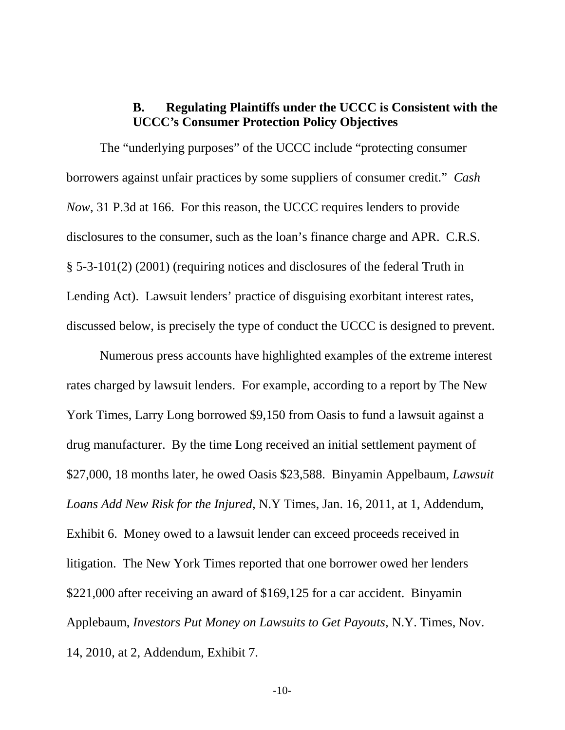## **B. Regulating Plaintiffs under the UCCC is Consistent with the UCCC's Consumer Protection Policy Objectives**

The "underlying purposes" of the UCCC include "protecting consumer borrowers against unfair practices by some suppliers of consumer credit." *Cash Now*, 31 P.3d at 166. For this reason, the UCCC requires lenders to provide disclosures to the consumer, such as the loan's finance charge and APR. C.R.S. § 5-3-101(2) (2001) (requiring notices and disclosures of the federal Truth in Lending Act). Lawsuit lenders' practice of disguising exorbitant interest rates, discussed below, is precisely the type of conduct the UCCC is designed to prevent.

Numerous press accounts have highlighted examples of the extreme interest rates charged by lawsuit lenders. For example, according to a report by The New York Times, Larry Long borrowed \$9,150 from Oasis to fund a lawsuit against a drug manufacturer. By the time Long received an initial settlement payment of \$27,000, 18 months later, he owed Oasis \$23,588. Binyamin Appelbaum, *Lawsuit Loans Add New Risk for the Injured*, N.Y Times, Jan. 16, 2011, at 1, Addendum, Exhibit 6. Money owed to a lawsuit lender can exceed proceeds received in litigation. The New York Times reported that one borrower owed her lenders \$221,000 after receiving an award of \$169,125 for a car accident. Binyamin Applebaum, *Investors Put Money on Lawsuits to Get Payouts,* N.Y. Times, Nov. 14, 2010, at 2, Addendum, Exhibit 7*.*

-10-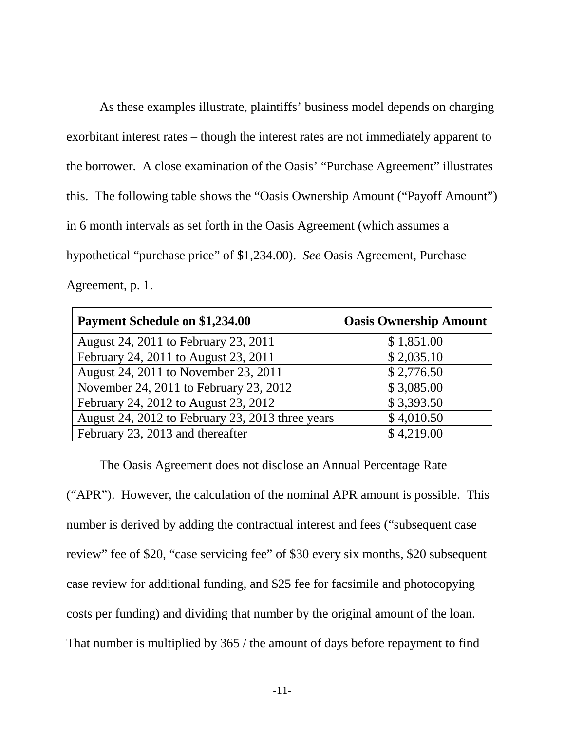As these examples illustrate, plaintiffs' business model depends on charging exorbitant interest rates – though the interest rates are not immediately apparent to the borrower. A close examination of the Oasis' "Purchase Agreement" illustrates this. The following table shows the "Oasis Ownership Amount ("Payoff Amount") in 6 month intervals as set forth in the Oasis Agreement (which assumes a hypothetical "purchase price" of \$1,234.00). *See* Oasis Agreement, Purchase Agreement, p. 1.

| <b>Payment Schedule on \$1,234.00</b>            | <b>Oasis Ownership Amount</b> |  |  |  |
|--------------------------------------------------|-------------------------------|--|--|--|
| August 24, 2011 to February 23, 2011             | \$1,851.00                    |  |  |  |
| February 24, 2011 to August 23, 2011             | \$2,035.10                    |  |  |  |
| August 24, 2011 to November 23, 2011             | \$2,776.50                    |  |  |  |
| November 24, 2011 to February 23, 2012           | \$3,085.00                    |  |  |  |
| February 24, 2012 to August 23, 2012             | \$3,393.50                    |  |  |  |
| August 24, 2012 to February 23, 2013 three years | \$4,010.50                    |  |  |  |
| February 23, 2013 and thereafter                 | \$4,219.00                    |  |  |  |

The Oasis Agreement does not disclose an Annual Percentage Rate ("APR"). However, the calculation of the nominal APR amount is possible. This number is derived by adding the contractual interest and fees ("subsequent case review" fee of \$20, "case servicing fee" of \$30 every six months, \$20 subsequent case review for additional funding, and \$25 fee for facsimile and photocopying costs per funding) and dividing that number by the original amount of the loan. That number is multiplied by 365 / the amount of days before repayment to find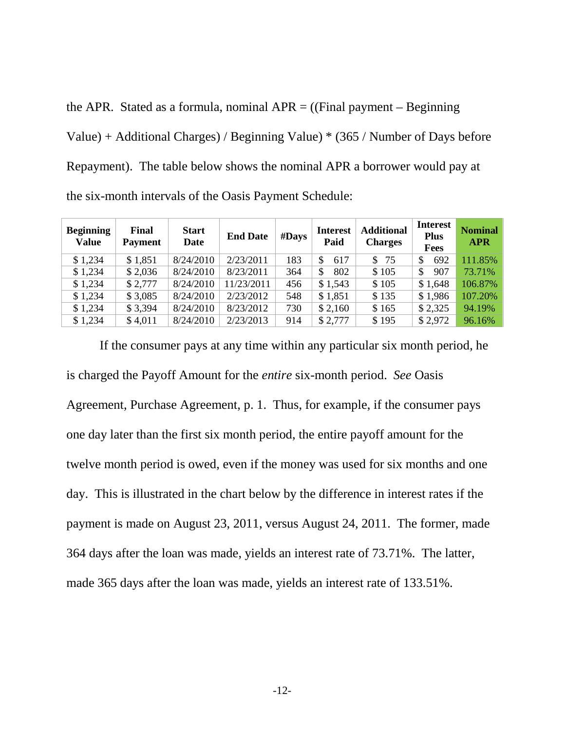the APR. Stated as a formula, nominal  $APR = ($ (Final payment – Beginning Value) + Additional Charges) / Beginning Value) \* (365 / Number of Days before Repayment). The table below shows the nominal APR a borrower would pay at the six-month intervals of the Oasis Payment Schedule:

| <b>Beginning</b><br><b>Value</b> | Final<br><b>Payment</b> | <b>Start</b><br>Date | <b>End Date</b> | $#$ Days | <b>Interest</b><br>Paid | <b>Additional</b><br><b>Charges</b> | <b>Interest</b><br><b>Plus</b><br>Fees | <b>Nominal</b><br><b>APR</b> |
|----------------------------------|-------------------------|----------------------|-----------------|----------|-------------------------|-------------------------------------|----------------------------------------|------------------------------|
| \$1,234                          | \$1,851                 | 8/24/2010            | 2/23/2011       | 183      | \$.<br>617              | \$75                                | 692<br>\$                              | 111.85%                      |
| \$1,234                          | \$2,036                 | 8/24/2010            | 8/23/2011       | 364      | 802<br>\$               | \$105                               | \$<br>907                              | 73.71%                       |
| \$1,234                          | \$2,777                 | 8/24/2010            | 11/23/2011      | 456      | \$1,543                 | \$105                               | \$1,648                                | 106.87%                      |
| \$1,234                          | \$3,085                 | 8/24/2010            | 2/23/2012       | 548      | \$1,851                 | \$135                               | \$1,986                                | 107.20%                      |
| \$1,234                          | \$3,394                 | 8/24/2010            | 8/23/2012       | 730      | \$2,160                 | \$165                               | \$2,325                                | 94.19%                       |
| \$1,234                          | \$4,011                 | 8/24/2010            | 2/23/2013       | 914      | \$2,777                 | \$195                               | \$2,972                                | 96.16%                       |

If the consumer pays at any time within any particular six month period, he is charged the Payoff Amount for the *entire* six-month period. *See* Oasis Agreement, Purchase Agreement, p. 1. Thus, for example, if the consumer pays one day later than the first six month period, the entire payoff amount for the twelve month period is owed, even if the money was used for six months and one day. This is illustrated in the chart below by the difference in interest rates if the payment is made on August 23, 2011, versus August 24, 2011. The former, made 364 days after the loan was made, yields an interest rate of 73.71%. The latter, made 365 days after the loan was made, yields an interest rate of 133.51%.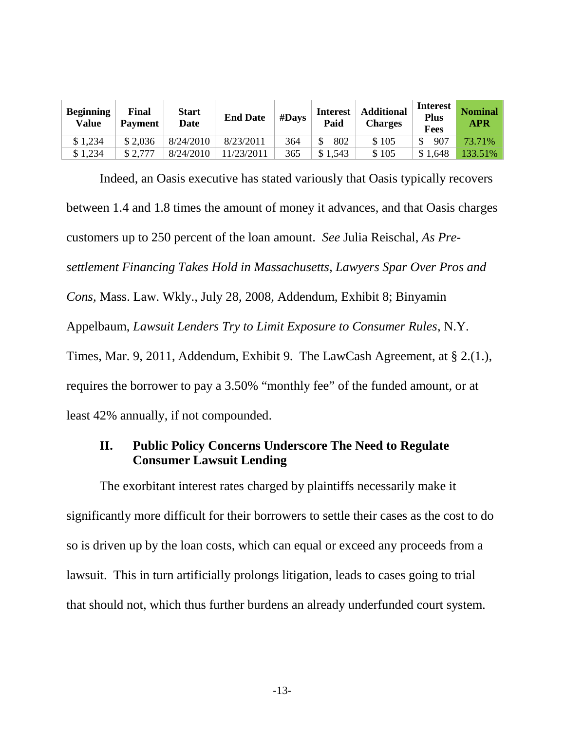| <b>Beginning</b><br><b>Value</b> | Final<br><b>Payment</b> | <b>Start</b><br>Date | <b>End Date</b> | #Days | <b>Interest</b><br>Paid | <b>Additional</b><br><b>Charges</b> | <b>Interest</b><br><b>Plus</b><br><b>Fees</b> | <b>Nominal</b><br><b>APR</b> |
|----------------------------------|-------------------------|----------------------|-----------------|-------|-------------------------|-------------------------------------|-----------------------------------------------|------------------------------|
| \$1,234                          | \$2,036                 | 8/24/2010            | 8/23/2011       | 364   | 802                     | \$105                               | 907                                           | 73.71%                       |
| \$1,234                          | \$2.777                 | 8/24/2010            | 11/23/2011      | 365   | \$1,543                 | \$105                               | \$1,648                                       | 133.51%                      |

Indeed, an Oasis executive has stated variously that Oasis typically recovers between 1.4 and 1.8 times the amount of money it advances, and that Oasis charges customers up to 250 percent of the loan amount. *See* Julia Reischal, *As Presettlement Financing Takes Hold in Massachusetts, Lawyers Spar Over Pros and Cons,* Mass. Law. Wkly.*,* July 28, 2008, Addendum, Exhibit 8; Binyamin Appelbaum, *Lawsuit Lenders Try to Limit Exposure to Consumer Rules*, N.Y. Times, Mar. 9, 2011, Addendum, Exhibit 9. The LawCash Agreement, at § 2.(1.), requires the borrower to pay a 3.50% "monthly fee" of the funded amount, or at least 42% annually, if not compounded.

## **II. Public Policy Concerns Underscore The Need to Regulate Consumer Lawsuit Lending**

The exorbitant interest rates charged by plaintiffs necessarily make it significantly more difficult for their borrowers to settle their cases as the cost to do so is driven up by the loan costs, which can equal or exceed any proceeds from a lawsuit. This in turn artificially prolongs litigation, leads to cases going to trial that should not, which thus further burdens an already underfunded court system.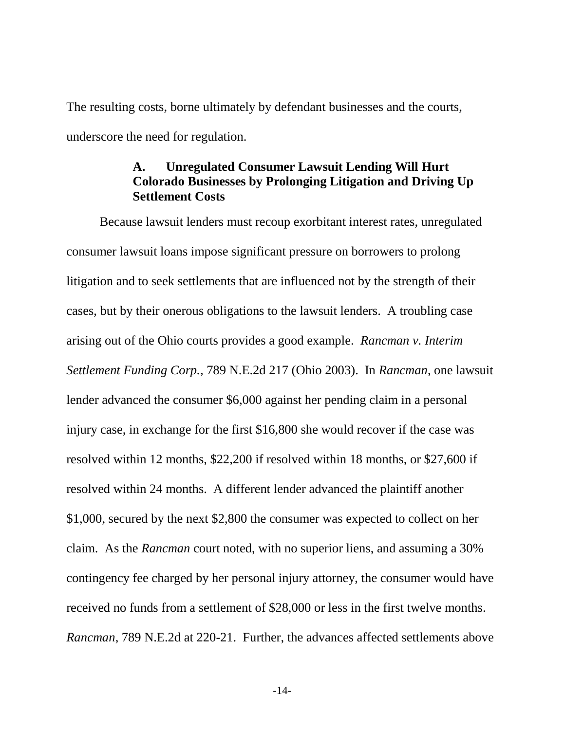The resulting costs, borne ultimately by defendant businesses and the courts, underscore the need for regulation.

## **A. Unregulated Consumer Lawsuit Lending Will Hurt Colorado Businesses by Prolonging Litigation and Driving Up Settlement Costs**

Because lawsuit lenders must recoup exorbitant interest rates, unregulated consumer lawsuit loans impose significant pressure on borrowers to prolong litigation and to seek settlements that are influenced not by the strength of their cases, but by their onerous obligations to the lawsuit lenders. A troubling case arising out of the Ohio courts provides a good example. *Rancman v. Interim Settlement Funding Corp.*, 789 N.E.2d 217 (Ohio 2003). In *Rancman*, one lawsuit lender advanced the consumer \$6,000 against her pending claim in a personal injury case, in exchange for the first \$16,800 she would recover if the case was resolved within 12 months, \$22,200 if resolved within 18 months, or \$27,600 if resolved within 24 months. A different lender advanced the plaintiff another \$1,000, secured by the next \$2,800 the consumer was expected to collect on her claim. As the *Rancman* court noted, with no superior liens, and assuming a 30% contingency fee charged by her personal injury attorney, the consumer would have received no funds from a settlement of \$28,000 or less in the first twelve months. *Rancman*, 789 N.E.2d at 220-21. Further, the advances affected settlements above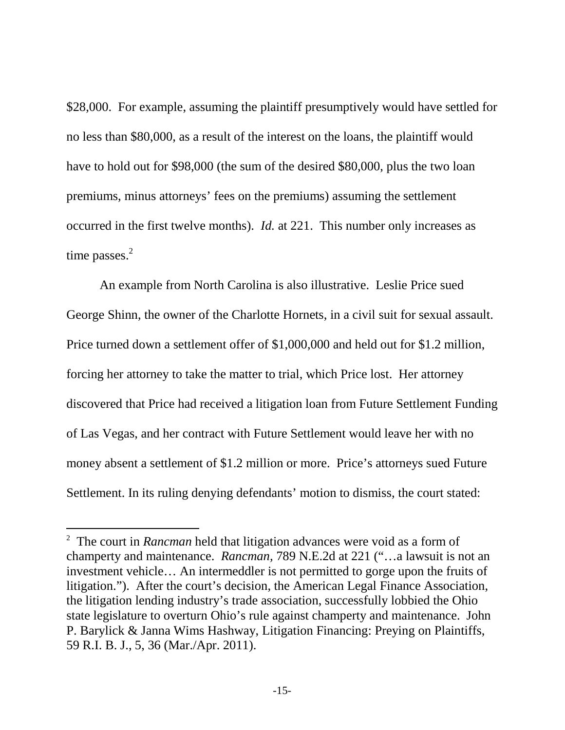\$28,000. For example, assuming the plaintiff presumptively would have settled for no less than \$80,000, as a result of the interest on the loans, the plaintiff would have to hold out for \$98,000 (the sum of the desired \$80,000, plus the two loan premiums, minus attorneys' fees on the premiums) assuming the settlement occurred in the first twelve months). *Id.* at 221. This number only increases as time passes.<sup>2</sup>

An example from North Carolina is also illustrative. Leslie Price sued George Shinn, the owner of the Charlotte Hornets, in a civil suit for sexual assault. Price turned down a settlement offer of \$1,000,000 and held out for \$1.2 million, forcing her attorney to take the matter to trial, which Price lost. Her attorney discovered that Price had received a litigation loan from Future Settlement Funding of Las Vegas, and her contract with Future Settlement would leave her with no money absent a settlement of \$1.2 million or more. Price's attorneys sued Future Settlement. In its ruling denying defendants' motion to dismiss, the court stated:

<sup>2</sup> The court in *Rancman* held that litigation advances were void as a form of champerty and maintenance. *Rancman,* 789 N.E.2d at 221 ("…a lawsuit is not an investment vehicle… An intermeddler is not permitted to gorge upon the fruits of litigation."). After the court's decision, the American Legal Finance Association, the litigation lending industry's trade association, successfully lobbied the Ohio state legislature to overturn Ohio's rule against champerty and maintenance. John P. Barylick & Janna Wims Hashway, Litigation Financing: Preying on Plaintiffs, 59 R.I. B. J., 5, 36 (Mar./Apr. 2011).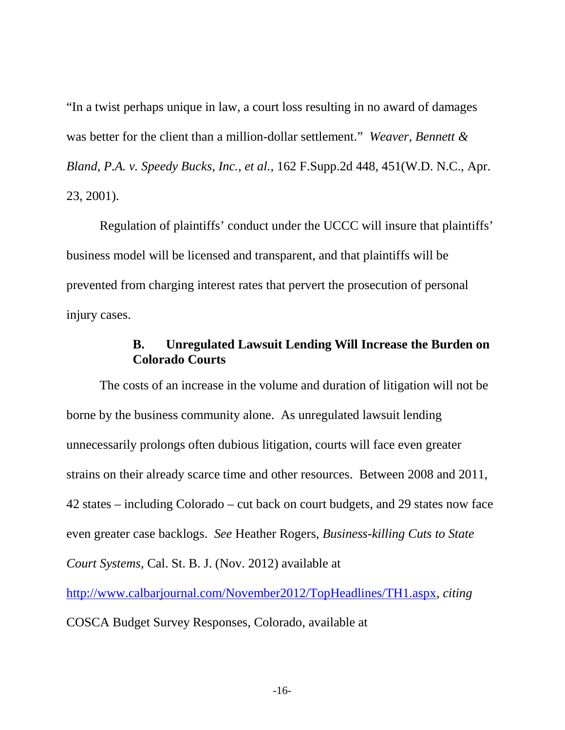"In a twist perhaps unique in law, a court loss resulting in no award of damages was better for the client than a million-dollar settlement." *Weaver, Bennett & Bland, P.A. v. Speedy Bucks, Inc., et al.*, 162 F.Supp.2d 448, 451(W.D. N.C., Apr. 23, 2001).

Regulation of plaintiffs' conduct under the UCCC will insure that plaintiffs' business model will be licensed and transparent, and that plaintiffs will be prevented from charging interest rates that pervert the prosecution of personal injury cases.

## **B. Unregulated Lawsuit Lending Will Increase the Burden on Colorado Courts**

The costs of an increase in the volume and duration of litigation will not be borne by the business community alone. As unregulated lawsuit lending unnecessarily prolongs often dubious litigation, courts will face even greater strains on their already scarce time and other resources. Between 2008 and 2011, 42 states – including Colorado – cut back on court budgets, and 29 states now face even greater case backlogs. *See* Heather Rogers, *Business-killing Cuts to State Court Systems*, Cal. St. B. J. (Nov. 2012) available at http://www.calbarjournal.com/November2012/TopHeadlines/TH1.aspx, *citing*

COSCA Budget Survey Responses, Colorado, available at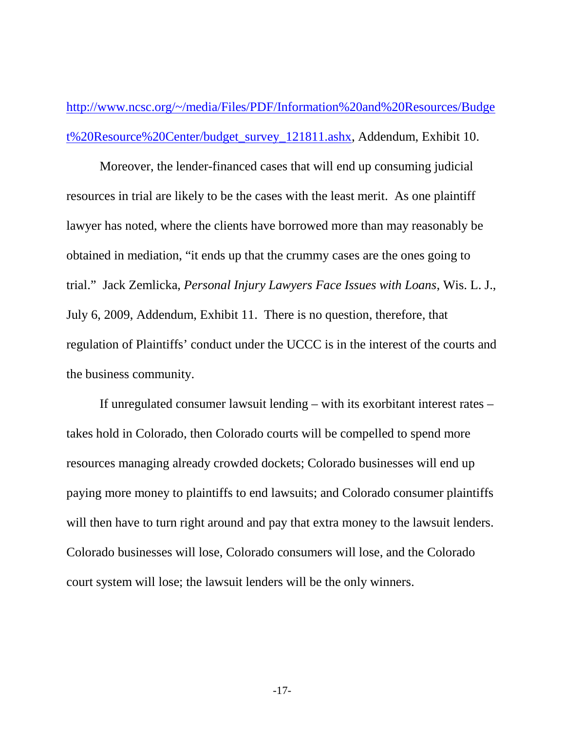http://www.ncsc.org/~/media/Files/PDF/Information%20and%20Resources/Budge t%20Resource%20Center/budget\_survey\_121811.ashx, Addendum, Exhibit 10.

Moreover, the lender-financed cases that will end up consuming judicial resources in trial are likely to be the cases with the least merit. As one plaintiff lawyer has noted, where the clients have borrowed more than may reasonably be obtained in mediation, "it ends up that the crummy cases are the ones going to trial." Jack Zemlicka, *Personal Injury Lawyers Face Issues with Loans*, Wis. L. J., July 6, 2009, Addendum, Exhibit 11. There is no question, therefore, that regulation of Plaintiffs' conduct under the UCCC is in the interest of the courts and the business community.

If unregulated consumer lawsuit lending – with its exorbitant interest rates – takes hold in Colorado, then Colorado courts will be compelled to spend more resources managing already crowded dockets; Colorado businesses will end up paying more money to plaintiffs to end lawsuits; and Colorado consumer plaintiffs will then have to turn right around and pay that extra money to the lawsuit lenders. Colorado businesses will lose, Colorado consumers will lose, and the Colorado court system will lose; the lawsuit lenders will be the only winners.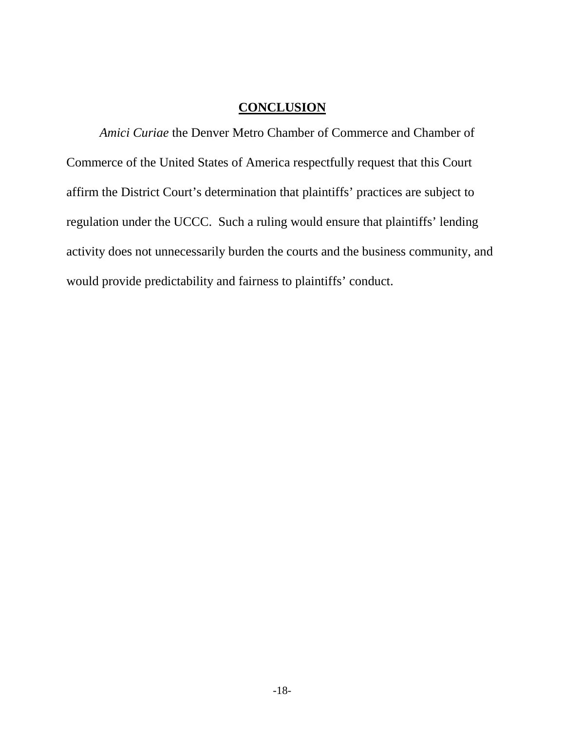## **CONCLUSION**

*Amici Curiae* the Denver Metro Chamber of Commerce and Chamber of Commerce of the United States of America respectfully request that this Court affirm the District Court's determination that plaintiffs' practices are subject to regulation under the UCCC. Such a ruling would ensure that plaintiffs' lending activity does not unnecessarily burden the courts and the business community, and would provide predictability and fairness to plaintiffs' conduct.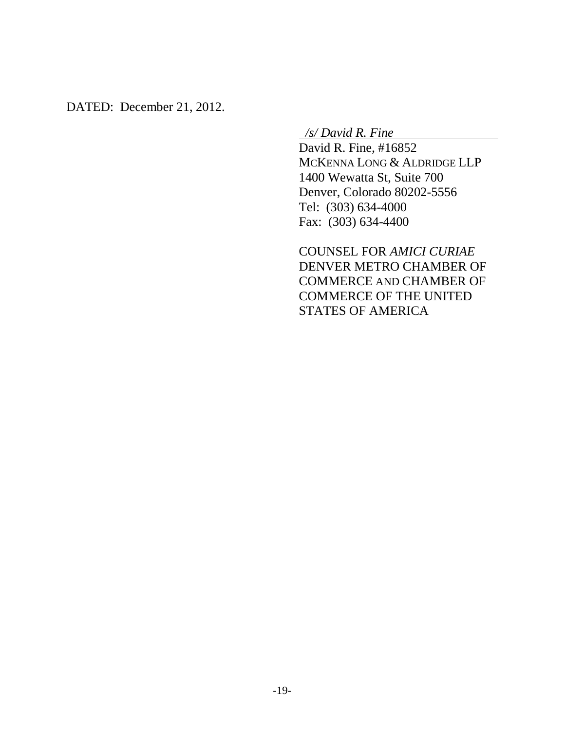DATED: December 21, 2012.

*/s/ David R. Fine*

David R. Fine, #16852 MCKENNA LONG & ALDRIDGE LLP 1400 Wewatta St, Suite 700 Denver, Colorado 80202-5556 Tel: (303) 634-4000 Fax: (303) 634-4400

COUNSEL FOR *AMICI CURIAE* DENVER METRO CHAMBER OF COMMERCE AND CHAMBER OF COMMERCE OF THE UNITED STATES OF AMERICA